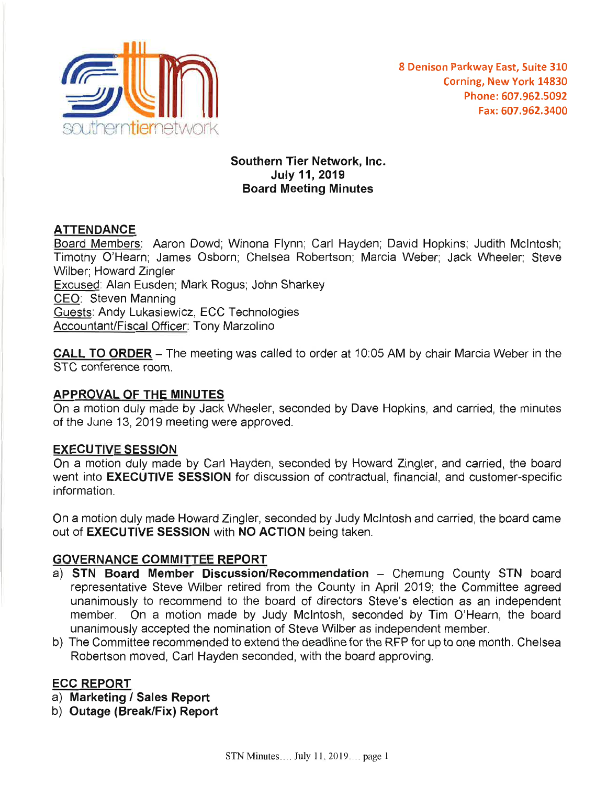

## Southern Tier Network, Inc. July11,2019 Board Meeting Minutes

# **ATTENDANCE**

Board Members: Aaron Dowd; Winona Flynn; Carl Hayden; David Hopkins; Judith Mcintosh; Timothy O'Hearn; James Osborn; Chelsea Robertson; Marcia Weber; Jack Wheeler; Steve Wilber; Howard Zingler Excused: Alan Eusden; Mark Rogus; John Sharkey CEO: Steven Manning Guests: Andy Lukasiewicz, ECC Technologies Accountant/Fiscal Officer: Tony Marzolino

CALL TO ORDER - The meeting was called to order at 10:05 AM by chair Marcia Weber in the STC conference room.

### APPROVAL OF THE MINUTES

On a motion duly made by Jack Wheeler, seconded by Dave Hopkins, and carried, the minutes of the June 13, 2019 meeting were approved.

### EXECUTIVE SESSION

On a motion duly made by Carl Hayden, seconded by Howard Zingler, and carried, the board went into **EXECUTIVE SESSION** for discussion of contractual, financial, and customer-specific information.

On a motion duly made Howard Zingler, seconded by Judy Mcintosh and carried, the board came out of **EXECUTIVE SESSION** with NO ACTION being taken.

# GOVERNANCE COMMITTEE REPORT

- a) STN Board Member Discussion/Recommendation Chemung County STN board representative Steve Wilber retired from the County in April 2019; the Committee agreed unanimously to recommend to the board of directors Steve's election as an independent member. On a motion made by Judy Mcintosh, seconded by Tim O'Hearn, the board unanimously accepted the nomination of Steve Wilber as independent member.
- b) The Committee recommended to extend the deadline for the RFP for up to one month. Chelsea Robertson moved, Carl Hayden seconded, with the board approving.

# ECC REPORT

- a) Marketing *I* Sales Report
- b) Outage (Break/Fix) Report